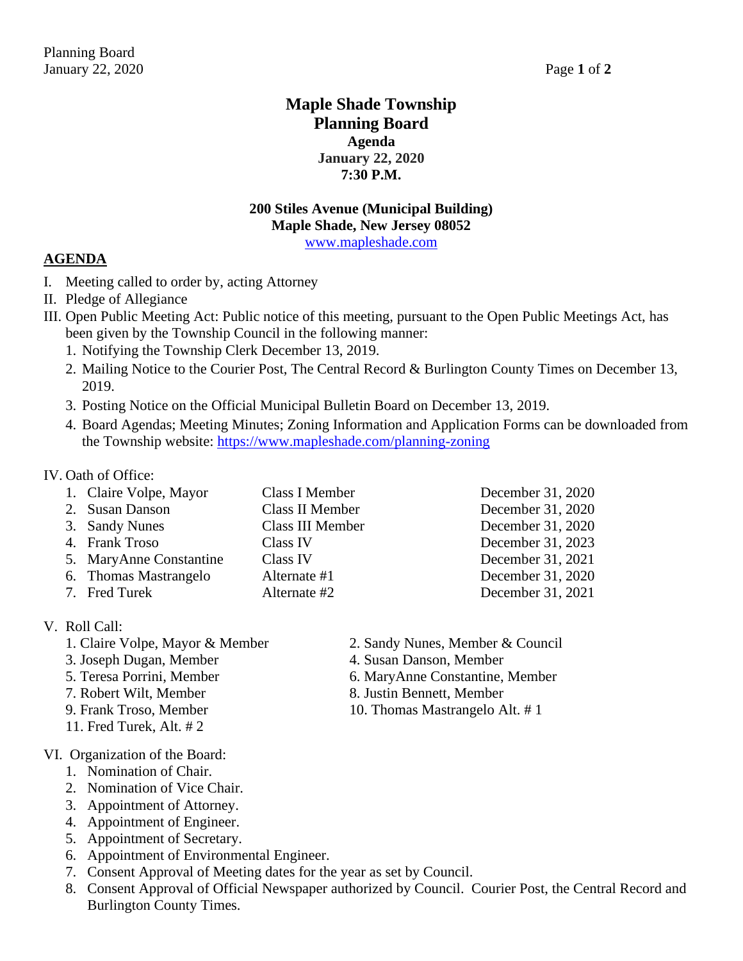# **Maple Shade Township Planning Board Agenda January 22, 2020 7:30 P.M.**

# **200 Stiles Avenue (Municipal Building) Maple Shade, New Jersey 08052**

[www.mapleshade.com](http://www.mapleshade.com/)

## **AGENDA**

- I. Meeting called to order by, acting Attorney
- II. Pledge of Allegiance
- III. Open Public Meeting Act: Public notice of this meeting, pursuant to the Open Public Meetings Act, has been given by the Township Council in the following manner:
	- 1. Notifying the Township Clerk December 13, 2019.
	- 2. Mailing Notice to the Courier Post, The Central Record & Burlington County Times on December 13, 2019.
	- 3. Posting Notice on the Official Municipal Bulletin Board on December 13, 2019.
	- 4. Board Agendas; Meeting Minutes; Zoning Information and Application Forms can be downloaded from the Township website:<https://www.mapleshade.com/planning-zoning>

## IV. Oath of Office:

1. Claire Volpe, Mayor Class I Member December 31, 2020 2. Susan Danson Class II Member December 31, 2020 3. Sandy Nunes Class III Member December 31, 2020 4. Frank Troso Class IV December 31, 2023 5. MaryAnne Constantine Class IV December 31, 2021 6. Thomas Mastrangelo Alternate #1 December 31, 2020 7. Fred Turek Alternate #2 December 31, 2021

## V. Roll Call:

- 
- 
- 
- 
- 
- 11. Fred Turek, Alt. # 2
- VI. Organization of the Board:
	- 1. Nomination of Chair.
	- 2. Nomination of Vice Chair.
	- 3. Appointment of Attorney.
	- 4. Appointment of Engineer.
	- 5. Appointment of Secretary.
	- 6. Appointment of Environmental Engineer.
	- 7. Consent Approval of Meeting dates for the year as set by Council.
	- 8. Consent Approval of Official Newspaper authorized by Council. Courier Post, the Central Record and Burlington County Times.
- 
- 1. Claire Volpe, Mayor & Member 2. Sandy Nunes, Member & Council
- 3. Joseph Dugan, Member 4. Susan Danson, Member
- 5. Teresa Porrini, Member 6. MaryAnne Constantine, Member
- 7. Robert Wilt, Member 8. Justin Bennett, Member
- 9. Frank Troso, Member 10. Thomas Mastrangelo Alt. #1